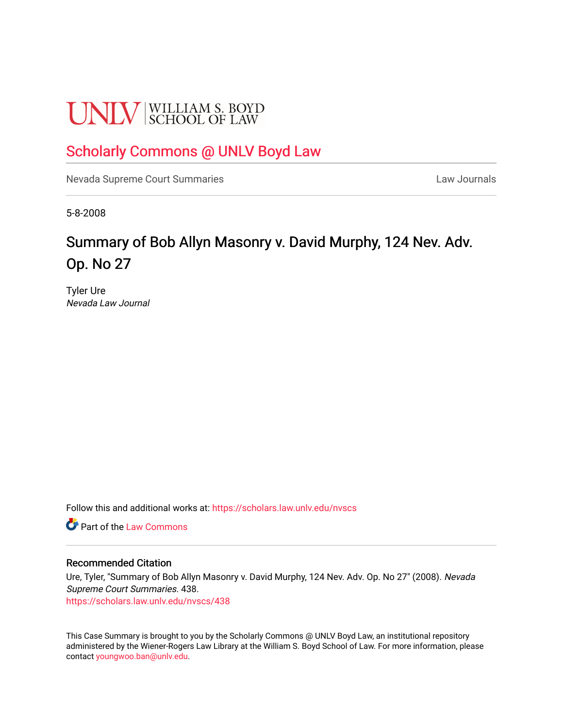# **UNLV** SCHOOL OF LAW

## [Scholarly Commons @ UNLV Boyd Law](https://scholars.law.unlv.edu/)

[Nevada Supreme Court Summaries](https://scholars.law.unlv.edu/nvscs) **Law Journals** Law Journals

5-8-2008

# Summary of Bob Allyn Masonry v. David Murphy, 124 Nev. Adv. Op. No 27

Tyler Ure Nevada Law Journal

Follow this and additional works at: [https://scholars.law.unlv.edu/nvscs](https://scholars.law.unlv.edu/nvscs?utm_source=scholars.law.unlv.edu%2Fnvscs%2F438&utm_medium=PDF&utm_campaign=PDFCoverPages)

**C** Part of the [Law Commons](http://network.bepress.com/hgg/discipline/578?utm_source=scholars.law.unlv.edu%2Fnvscs%2F438&utm_medium=PDF&utm_campaign=PDFCoverPages)

#### Recommended Citation

Ure, Tyler, "Summary of Bob Allyn Masonry v. David Murphy, 124 Nev. Adv. Op. No 27" (2008). Nevada Supreme Court Summaries. 438.

[https://scholars.law.unlv.edu/nvscs/438](https://scholars.law.unlv.edu/nvscs/438?utm_source=scholars.law.unlv.edu%2Fnvscs%2F438&utm_medium=PDF&utm_campaign=PDFCoverPages)

This Case Summary is brought to you by the Scholarly Commons @ UNLV Boyd Law, an institutional repository administered by the Wiener-Rogers Law Library at the William S. Boyd School of Law. For more information, please contact [youngwoo.ban@unlv.edu](mailto:youngwoo.ban@unlv.edu).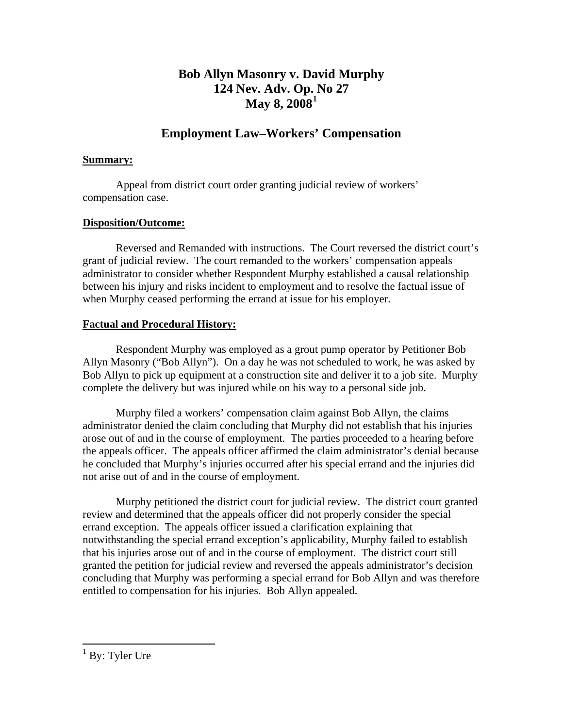## **Bob Allyn Masonry v. David Murphy 124 Nev. Adv. Op. [N](#page-1-0)o 27 May 8, 2008[1](#page-1-0)**

## **Employment Law–Workers' Compensation**

#### **Summary:**

 Appeal from district court order granting judicial review of workers' compensation case.

#### **Disposition/Outcome:**

 Reversed and Remanded with instructions. The Court reversed the district court's grant of judicial review. The court remanded to the workers' compensation appeals administrator to consider whether Respondent Murphy established a causal relationship between his injury and risks incident to employment and to resolve the factual issue of when Murphy ceased performing the errand at issue for his employer.

#### **Factual and Procedural History:**

 Respondent Murphy was employed as a grout pump operator by Petitioner Bob Allyn Masonry ("Bob Allyn"). On a day he was not scheduled to work, he was asked by Bob Allyn to pick up equipment at a construction site and deliver it to a job site. Murphy complete the delivery but was injured while on his way to a personal side job.

 Murphy filed a workers' compensation claim against Bob Allyn, the claims administrator denied the claim concluding that Murphy did not establish that his injuries arose out of and in the course of employment. The parties proceeded to a hearing before the appeals officer. The appeals officer affirmed the claim administrator's denial because he concluded that Murphy's injuries occurred after his special errand and the injuries did not arise out of and in the course of employment.

 Murphy petitioned the district court for judicial review. The district court granted review and determined that the appeals officer did not properly consider the special errand exception. The appeals officer issued a clarification explaining that notwithstanding the special errand exception's applicability, Murphy failed to establish that his injuries arose out of and in the course of employment. The district court still granted the petition for judicial review and reversed the appeals administrator's decision concluding that Murphy was performing a special errand for Bob Allyn and was therefore entitled to compensation for his injuries. Bob Allyn appealed.

<span id="page-1-0"></span><sup>&</sup>lt;sup>1</sup> By: Tyler Ure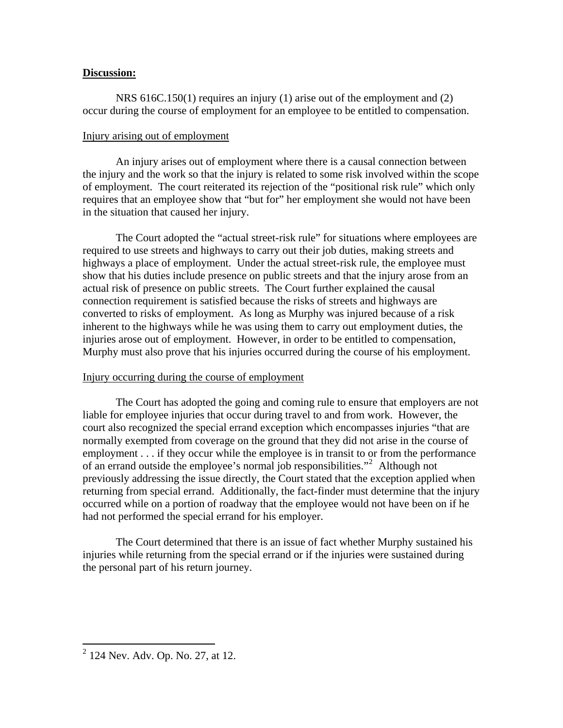#### **Discussion:**

 NRS 616C.150(1) requires an injury (1) arise out of the employment and (2) occur during the course of employment for an employee to be entitled to compensation.

#### Injury arising out of employment

 An injury arises out of employment where there is a causal connection between the injury and the work so that the injury is related to some risk involved within the scope of employment. The court reiterated its rejection of the "positional risk rule" which only requires that an employee show that "but for" her employment she would not have been in the situation that caused her injury.

 The Court adopted the "actual street-risk rule" for situations where employees are required to use streets and highways to carry out their job duties, making streets and highways a place of employment. Under the actual street-risk rule, the employee must show that his duties include presence on public streets and that the injury arose from an actual risk of presence on public streets. The Court further explained the causal connection requirement is satisfied because the risks of streets and highways are converted to risks of employment. As long as Murphy was injured because of a risk inherent to the highways while he was using them to carry out employment duties, the injuries arose out of employment. However, in order to be entitled to compensation, Murphy must also prove that his injuries occurred during the course of his employment.

#### Injury occurring during the course of employment

 The Court has adopted the going and coming rule to ensure that employers are not liable for employee injuries that occur during travel to and from work. However, the court also recognized the special errand exception which encompasses injuries "that are normally exempted from coverage on the ground that they did not arise in the course of employment . . . if they occur while the employee is in transit to or from the performance of an errand outside the employee's normal job responsibilities."<sup>[2](#page-2-0)</sup> Although not previously addressing the issue directly, the Court stated that the exception applied when returning from special errand. Additionally, the fact-finder must determine that the injury occurred while on a portion of roadway that the employee would not have been on if he had not performed the special errand for his employer.

 The Court determined that there is an issue of fact whether Murphy sustained his injuries while returning from the special errand or if the injuries were sustained during the personal part of his return journey.

<span id="page-2-0"></span> 2 124 Nev. Adv. Op. No. 27, at 12.